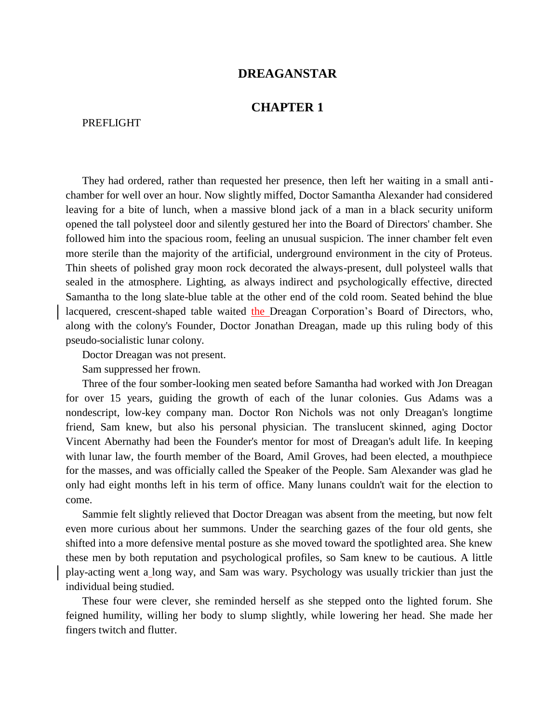## **DREAGANSTAR**

## **CHAPTER 1**

## PREFLIGHT

They had ordered, rather than requested her presence, then left her waiting in a small antichamber for well over an hour. Now slightly miffed, Doctor Samantha Alexander had considered leaving for a bite of lunch, when a massive blond jack of a man in a black security uniform opened the tall polysteel door and silently gestured her into the Board of Directors' chamber. She followed him into the spacious room, feeling an unusual suspicion. The inner chamber felt even more sterile than the majority of the artificial, underground environment in the city of Proteus. Thin sheets of polished gray moon rock decorated the always-present, dull polysteel walls that sealed in the atmosphere. Lighting, as always indirect and psychologically effective, directed Samantha to the long slate-blue table at the other end of the cold room. Seated behind the blue lacquered, crescent-shaped table waited the Dreagan Corporation's Board of Directors, who, along with the colony's Founder, Doctor Jonathan Dreagan, made up this ruling body of this pseudo-socialistic lunar colony.

Doctor Dreagan was not present.

Sam suppressed her frown.

Three of the four somber-looking men seated before Samantha had worked with Jon Dreagan for over 15 years, guiding the growth of each of the lunar colonies. Gus Adams was a nondescript, low-key company man. Doctor Ron Nichols was not only Dreagan's longtime friend, Sam knew, but also his personal physician. The translucent skinned, aging Doctor Vincent Abernathy had been the Founder's mentor for most of Dreagan's adult life. In keeping with lunar law, the fourth member of the Board, Amil Groves, had been elected, a mouthpiece for the masses, and was officially called the Speaker of the People. Sam Alexander was glad he only had eight months left in his term of office. Many lunans couldn't wait for the election to come.

Sammie felt slightly relieved that Doctor Dreagan was absent from the meeting, but now felt even more curious about her summons. Under the searching gazes of the four old gents, she shifted into a more defensive mental posture as she moved toward the spotlighted area. She knew these men by both reputation and psychological profiles, so Sam knew to be cautious. A little play-acting went a long way, and Sam was wary. Psychology was usually trickier than just the individual being studied.

These four were clever, she reminded herself as she stepped onto the lighted forum. She feigned humility, willing her body to slump slightly, while lowering her head. She made her fingers twitch and flutter.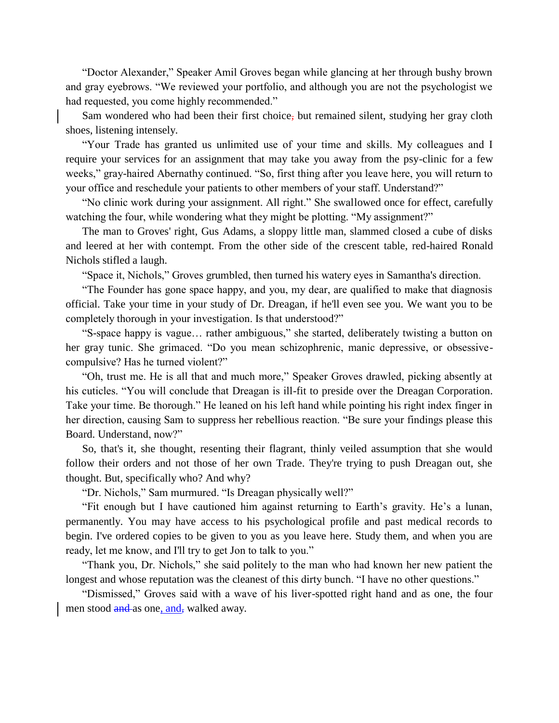"Doctor Alexander," Speaker Amil Groves began while glancing at her through bushy brown and gray eyebrows. "We reviewed your portfolio, and although you are not the psychologist we had requested, you come highly recommended."

Sam wondered who had been their first choice, but remained silent, studying her gray cloth shoes, listening intensely.

"Your Trade has granted us unlimited use of your time and skills. My colleagues and I require your services for an assignment that may take you away from the psy-clinic for a few weeks," gray-haired Abernathy continued. "So, first thing after you leave here, you will return to your office and reschedule your patients to other members of your staff. Understand?"

"No clinic work during your assignment. All right." She swallowed once for effect, carefully watching the four, while wondering what they might be plotting. "My assignment?"

The man to Groves' right, Gus Adams, a sloppy little man, slammed closed a cube of disks and leered at her with contempt. From the other side of the crescent table, red-haired Ronald Nichols stifled a laugh.

"Space it, Nichols," Groves grumbled, then turned his watery eyes in Samantha's direction.

"The Founder has gone space happy, and you, my dear, are qualified to make that diagnosis official. Take your time in your study of Dr. Dreagan, if he'll even see you. We want you to be completely thorough in your investigation. Is that understood?"

"S-space happy is vague… rather ambiguous," she started, deliberately twisting a button on her gray tunic. She grimaced. "Do you mean schizophrenic, manic depressive, or obsessivecompulsive? Has he turned violent?"

"Oh, trust me. He is all that and much more," Speaker Groves drawled, picking absently at his cuticles. "You will conclude that Dreagan is ill-fit to preside over the Dreagan Corporation. Take your time. Be thorough." He leaned on his left hand while pointing his right index finger in her direction, causing Sam to suppress her rebellious reaction. "Be sure your findings please this Board. Understand, now?"

So, that's it, she thought, resenting their flagrant, thinly veiled assumption that she would follow their orders and not those of her own Trade. They're trying to push Dreagan out, she thought. But, specifically who? And why?

"Dr. Nichols," Sam murmured. "Is Dreagan physically well?"

"Fit enough but I have cautioned him against returning to Earth's gravity. He's a lunan, permanently. You may have access to his psychological profile and past medical records to begin. I've ordered copies to be given to you as you leave here. Study them, and when you are ready, let me know, and I'll try to get Jon to talk to you."

"Thank you, Dr. Nichols," she said politely to the man who had known her new patient the longest and whose reputation was the cleanest of this dirty bunch. "I have no other questions."

"Dismissed," Groves said with a wave of his liver-spotted right hand and as one, the four men stood and as one, and, walked away.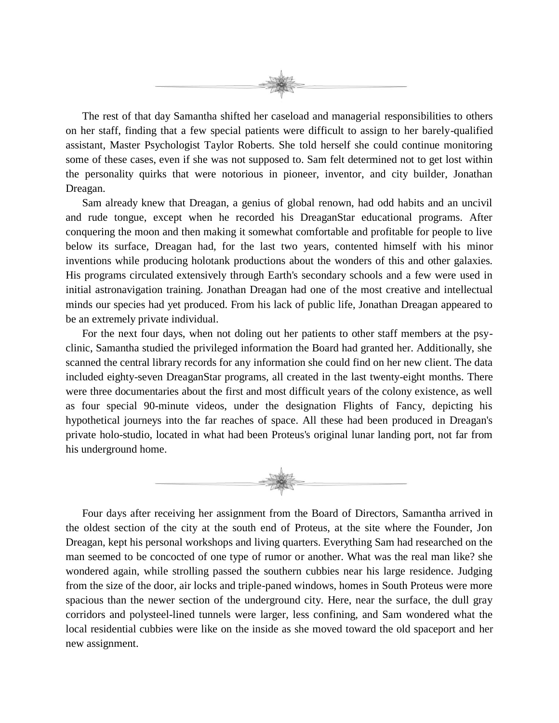

The rest of that day Samantha shifted her caseload and managerial responsibilities to others on her staff, finding that a few special patients were difficult to assign to her barely-qualified assistant, Master Psychologist Taylor Roberts. She told herself she could continue monitoring some of these cases, even if she was not supposed to. Sam felt determined not to get lost within the personality quirks that were notorious in pioneer, inventor, and city builder, Jonathan Dreagan.

Sam already knew that Dreagan, a genius of global renown, had odd habits and an uncivil and rude tongue, except when he recorded his DreaganStar educational programs. After conquering the moon and then making it somewhat comfortable and profitable for people to live below its surface, Dreagan had, for the last two years, contented himself with his minor inventions while producing holotank productions about the wonders of this and other galaxies. His programs circulated extensively through Earth's secondary schools and a few were used in initial astronavigation training. Jonathan Dreagan had one of the most creative and intellectual minds our species had yet produced. From his lack of public life, Jonathan Dreagan appeared to be an extremely private individual.

For the next four days, when not doling out her patients to other staff members at the psyclinic, Samantha studied the privileged information the Board had granted her. Additionally, she scanned the central library records for any information she could find on her new client. The data included eighty-seven DreaganStar programs, all created in the last twenty-eight months. There were three documentaries about the first and most difficult years of the colony existence, as well as four special 90-minute videos, under the designation Flights of Fancy, depicting his hypothetical journeys into the far reaches of space. All these had been produced in Dreagan's private holo-studio, located in what had been Proteus's original lunar landing port, not far from his underground home.



Four days after receiving her assignment from the Board of Directors, Samantha arrived in the oldest section of the city at the south end of Proteus, at the site where the Founder, Jon Dreagan, kept his personal workshops and living quarters. Everything Sam had researched on the man seemed to be concocted of one type of rumor or another. What was the real man like? she wondered again, while strolling passed the southern cubbies near his large residence. Judging from the size of the door, air locks and triple-paned windows, homes in South Proteus were more spacious than the newer section of the underground city. Here, near the surface, the dull gray corridors and polysteel-lined tunnels were larger, less confining, and Sam wondered what the local residential cubbies were like on the inside as she moved toward the old spaceport and her new assignment.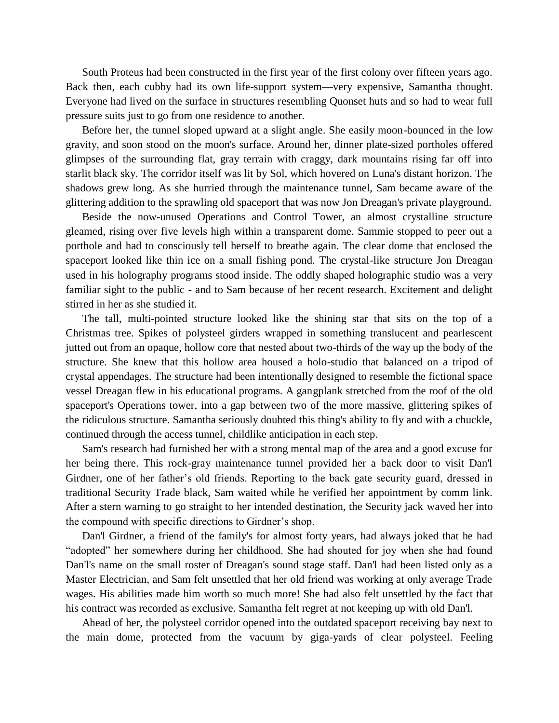South Proteus had been constructed in the first year of the first colony over fifteen years ago. Back then, each cubby had its own life-support system—very expensive, Samantha thought. Everyone had lived on the surface in structures resembling Quonset huts and so had to wear full pressure suits just to go from one residence to another.

Before her, the tunnel sloped upward at a slight angle. She easily moon-bounced in the low gravity, and soon stood on the moon's surface. Around her, dinner plate-sized portholes offered glimpses of the surrounding flat, gray terrain with craggy, dark mountains rising far off into starlit black sky. The corridor itself was lit by Sol, which hovered on Luna's distant horizon. The shadows grew long. As she hurried through the maintenance tunnel, Sam became aware of the glittering addition to the sprawling old spaceport that was now Jon Dreagan's private playground.

Beside the now-unused Operations and Control Tower, an almost crystalline structure gleamed, rising over five levels high within a transparent dome. Sammie stopped to peer out a porthole and had to consciously tell herself to breathe again. The clear dome that enclosed the spaceport looked like thin ice on a small fishing pond. The crystal-like structure Jon Dreagan used in his holography programs stood inside. The oddly shaped holographic studio was a very familiar sight to the public - and to Sam because of her recent research. Excitement and delight stirred in her as she studied it.

The tall, multi-pointed structure looked like the shining star that sits on the top of a Christmas tree. Spikes of polysteel girders wrapped in something translucent and pearlescent jutted out from an opaque, hollow core that nested about two-thirds of the way up the body of the structure. She knew that this hollow area housed a holo-studio that balanced on a tripod of crystal appendages. The structure had been intentionally designed to resemble the fictional space vessel Dreagan flew in his educational programs. A gangplank stretched from the roof of the old spaceport's Operations tower, into a gap between two of the more massive, glittering spikes of the ridiculous structure. Samantha seriously doubted this thing's ability to fly and with a chuckle, continued through the access tunnel, childlike anticipation in each step.

Sam's research had furnished her with a strong mental map of the area and a good excuse for her being there. This rock-gray maintenance tunnel provided her a back door to visit Dan'l Girdner, one of her father's old friends. Reporting to the back gate security guard, dressed in traditional Security Trade black, Sam waited while he verified her appointment by comm link. After a stern warning to go straight to her intended destination, the Security jack waved her into the compound with specific directions to Girdner's shop.

Dan'l Girdner, a friend of the family's for almost forty years, had always joked that he had "adopted" her somewhere during her childhood. She had shouted for joy when she had found Dan'l's name on the small roster of Dreagan's sound stage staff. Dan'l had been listed only as a Master Electrician, and Sam felt unsettled that her old friend was working at only average Trade wages. His abilities made him worth so much more! She had also felt unsettled by the fact that his contract was recorded as exclusive. Samantha felt regret at not keeping up with old Dan'l.

Ahead of her, the polysteel corridor opened into the outdated spaceport receiving bay next to the main dome, protected from the vacuum by giga-yards of clear polysteel. Feeling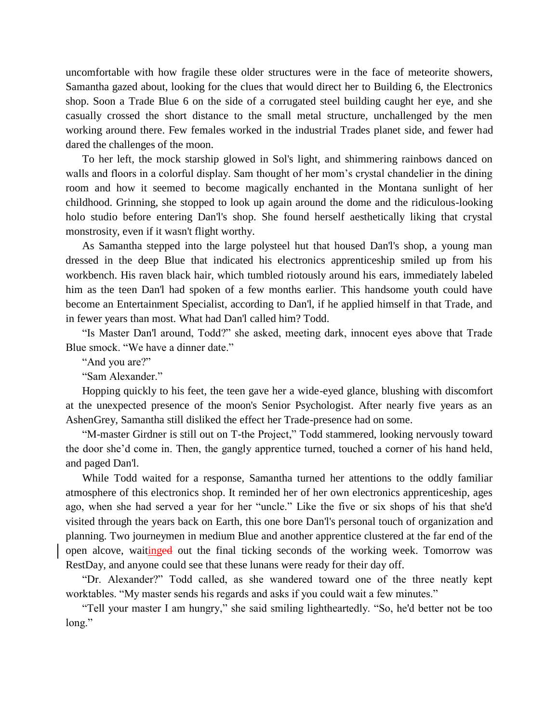uncomfortable with how fragile these older structures were in the face of meteorite showers, Samantha gazed about, looking for the clues that would direct her to Building 6, the Electronics shop. Soon a Trade Blue 6 on the side of a corrugated steel building caught her eye, and she casually crossed the short distance to the small metal structure, unchallenged by the men working around there. Few females worked in the industrial Trades planet side, and fewer had dared the challenges of the moon.

To her left, the mock starship glowed in Sol's light, and shimmering rainbows danced on walls and floors in a colorful display. Sam thought of her mom's crystal chandelier in the dining room and how it seemed to become magically enchanted in the Montana sunlight of her childhood. Grinning, she stopped to look up again around the dome and the ridiculous-looking holo studio before entering Dan'l's shop. She found herself aesthetically liking that crystal monstrosity, even if it wasn't flight worthy.

As Samantha stepped into the large polysteel hut that housed Dan'l's shop, a young man dressed in the deep Blue that indicated his electronics apprenticeship smiled up from his workbench. His raven black hair, which tumbled riotously around his ears, immediately labeled him as the teen Dan'l had spoken of a few months earlier. This handsome youth could have become an Entertainment Specialist, according to Dan'l, if he applied himself in that Trade, and in fewer years than most. What had Dan'l called him? Todd.

"Is Master Dan'l around, Todd?" she asked, meeting dark, innocent eyes above that Trade Blue smock. "We have a dinner date."

"And you are?"

"Sam Alexander."

Hopping quickly to his feet, the teen gave her a wide-eyed glance, blushing with discomfort at the unexpected presence of the moon's Senior Psychologist. After nearly five years as an AshenGrey, Samantha still disliked the effect her Trade-presence had on some.

"M-master Girdner is still out on T-the Project," Todd stammered, looking nervously toward the door she'd come in. Then, the gangly apprentice turned, touched a corner of his hand held, and paged Dan'l.

While Todd waited for a response, Samantha turned her attentions to the oddly familiar atmosphere of this electronics shop. It reminded her of her own electronics apprenticeship, ages ago, when she had served a year for her "uncle." Like the five or six shops of his that she'd visited through the years back on Earth, this one bore Dan'l's personal touch of organization and planning. Two journeymen in medium Blue and another apprentice clustered at the far end of the open alcove, waitinged out the final ticking seconds of the working week. Tomorrow was RestDay, and anyone could see that these lunans were ready for their day off.

"Dr. Alexander?" Todd called, as she wandered toward one of the three neatly kept worktables. "My master sends his regards and asks if you could wait a few minutes."

"Tell your master I am hungry," she said smiling lightheartedly. "So, he'd better not be too long."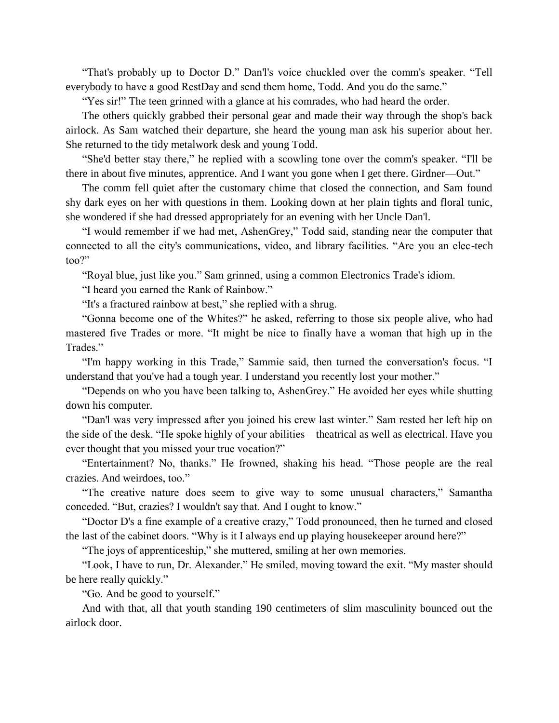"That's probably up to Doctor D." Dan'l's voice chuckled over the comm's speaker. "Tell everybody to have a good RestDay and send them home, Todd. And you do the same."

"Yes sir!" The teen grinned with a glance at his comrades, who had heard the order.

The others quickly grabbed their personal gear and made their way through the shop's back airlock. As Sam watched their departure, she heard the young man ask his superior about her. She returned to the tidy metalwork desk and young Todd.

"She'd better stay there," he replied with a scowling tone over the comm's speaker. "I'll be there in about five minutes, apprentice. And I want you gone when I get there. Girdner—Out."

The comm fell quiet after the customary chime that closed the connection, and Sam found shy dark eyes on her with questions in them. Looking down at her plain tights and floral tunic, she wondered if she had dressed appropriately for an evening with her Uncle Dan'l.

"I would remember if we had met, AshenGrey," Todd said, standing near the computer that connected to all the city's communications, video, and library facilities. "Are you an elec-tech too?"

"Royal blue, just like you." Sam grinned, using a common Electronics Trade's idiom.

"I heard you earned the Rank of Rainbow."

"It's a fractured rainbow at best," she replied with a shrug.

"Gonna become one of the Whites?" he asked, referring to those six people alive, who had mastered five Trades or more. "It might be nice to finally have a woman that high up in the Trades."

"I'm happy working in this Trade," Sammie said, then turned the conversation's focus. "I understand that you've had a tough year. I understand you recently lost your mother."

"Depends on who you have been talking to, AshenGrey." He avoided her eyes while shutting down his computer.

"Dan'l was very impressed after you joined his crew last winter." Sam rested her left hip on the side of the desk. "He spoke highly of your abilities—theatrical as well as electrical. Have you ever thought that you missed your true vocation?"

"Entertainment? No, thanks." He frowned, shaking his head. "Those people are the real crazies. And weirdoes, too."

"The creative nature does seem to give way to some unusual characters," Samantha conceded. "But, crazies? I wouldn't say that. And I ought to know."

"Doctor D's a fine example of a creative crazy," Todd pronounced, then he turned and closed the last of the cabinet doors. "Why is it I always end up playing housekeeper around here?"

"The joys of apprenticeship," she muttered, smiling at her own memories.

"Look, I have to run, Dr. Alexander." He smiled, moving toward the exit. "My master should be here really quickly."

"Go. And be good to yourself."

And with that, all that youth standing 190 centimeters of slim masculinity bounced out the airlock door.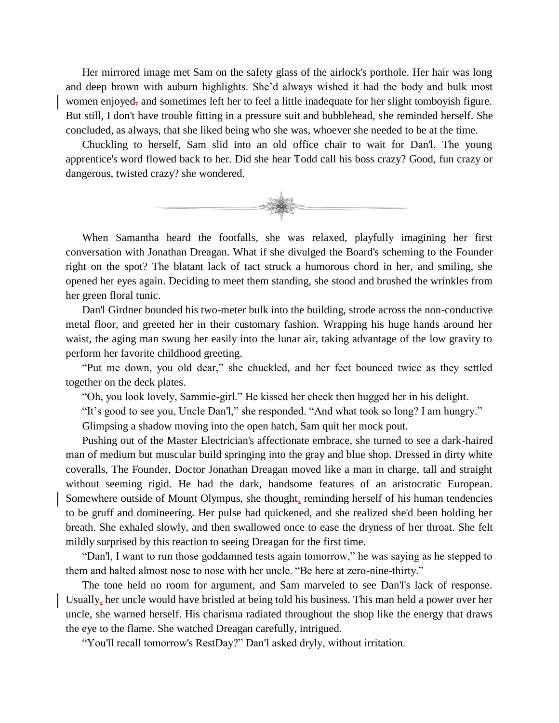Her mirrored image met Sam on the safety glass of the airlock's porthole. Her hair was long and deep brown with auburn highlights. She'd always wished it had the body and bulk most women enjoyed, and sometimes left her to feel a little inadequate for her slight tomboyish figure. But still, I don't have trouble fitting in a pressure suit and bubblehead, she reminded herself. She concluded, as always, that she liked being who she was, whoever she needed to be at the time.

Chuckling to herself, Sam slid into an old office chair to wait for Dan'l. The young apprentice's word flowed back to her. Did she hear Todd call his boss crazy? Good, fun crazy or dangerous, twisted crazy? she wondered.



When Samantha heard the footfalls, she was relaxed, playfully imagining her first conversation with Jonathan Dreagan. What if she divulged the Board's scheming to the Founder right on the spot? The blatant lack of tact struck a humorous chord in her, and smiling, she opened her eyes again. Deciding to meet them standing, she stood and brushed the wrinkles from her green floral tunic.

Dan'l Girdner bounded his two-meter bulk into the building, strode across the non-conductive metal floor, and greeted her in their customary fashion. Wrapping his huge hands around her waist, the aging man swung her easily into the lunar air, taking advantage of the low gravity to perform her favorite childhood greeting.

"Put me down, you old dear," she chuckled, and her feet bounced twice as they settled together on the deck plates.

"Oh, you look lovely, Sammie-girl." He kissed her cheek then hugged her in his delight.

"It's good to see you, Uncle Dan'l," she responded. "And what took so long? I am hungry."

Glimpsing a shadow moving into the open hatch, Sam quit her mock pout.

Pushing out of the Master Electrician's affectionate embrace, she turned to see a dark-haired man of medium but muscular build springing into the gray and blue shop. Dressed in dirty white coveralls, The Founder, Doctor Jonathan Dreagan moved like a man in charge, tall and straight without seeming rigid. He had the dark, handsome features of an aristocratic European. Somewhere outside of Mount Olympus, she thought, reminding herself of his human tendencies to be gruff and domineering. Her pulse had quickened, and she realized she'd been holding her breath. She exhaled slowly, and then swallowed once to ease the dryness of her throat. She felt mildly surprised by this reaction to seeing Dreagan for the first time.

"Dan'l, I want to run those goddamned tests again tomorrow," he was saying as he stepped to them and halted almost nose to nose with her uncle. "Be here at zero-nine-thirty."

The tone held no room for argument, and Sam marveled to see Dan'l's lack of response. Usually, her uncle would have bristled at being told his business. This man held a power over her uncle, she warned herself. His charisma radiated throughout the shop like the energy that draws the eye to the flame. She watched Dreagan carefully, intrigued.

"You'll recall tomorrow's RestDay?" Dan'l asked dryly, without irritation.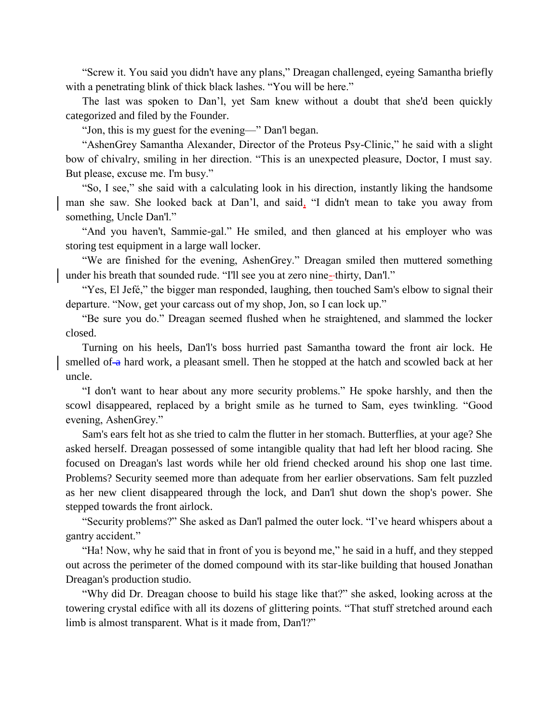"Screw it. You said you didn't have any plans," Dreagan challenged, eyeing Samantha briefly with a penetrating blink of thick black lashes. "You will be here."

The last was spoken to Dan'l, yet Sam knew without a doubt that she'd been quickly categorized and filed by the Founder.

"Jon, this is my guest for the evening—" Dan'l began.

"AshenGrey Samantha Alexander, Director of the Proteus Psy-Clinic," he said with a slight bow of chivalry, smiling in her direction. "This is an unexpected pleasure, Doctor, I must say. But please, excuse me. I'm busy."

"So, I see," she said with a calculating look in his direction, instantly liking the handsome man she saw. She looked back at Dan'l, and said, "I didn't mean to take you away from something, Uncle Dan'l."

"And you haven't, Sammie-gal." He smiled, and then glanced at his employer who was storing test equipment in a large wall locker.

"We are finished for the evening, AshenGrey." Dreagan smiled then muttered something under his breath that sounded rude. "I'll see you at zero nine--thirty, Dan'l."

"Yes, El Jefé," the bigger man responded, laughing, then touched Sam's elbow to signal their departure. "Now, get your carcass out of my shop, Jon, so I can lock up."

"Be sure you do." Dreagan seemed flushed when he straightened, and slammed the locker closed.

Turning on his heels, Dan'l's boss hurried past Samantha toward the front air lock. He smelled of  $\alpha$  hard work, a pleasant smell. Then he stopped at the hatch and scowled back at her uncle.

"I don't want to hear about any more security problems." He spoke harshly, and then the scowl disappeared, replaced by a bright smile as he turned to Sam, eyes twinkling. "Good evening, AshenGrey."

Sam's ears felt hot as she tried to calm the flutter in her stomach. Butterflies, at your age? She asked herself. Dreagan possessed of some intangible quality that had left her blood racing. She focused on Dreagan's last words while her old friend checked around his shop one last time. Problems? Security seemed more than adequate from her earlier observations. Sam felt puzzled as her new client disappeared through the lock, and Dan'l shut down the shop's power. She stepped towards the front airlock.

"Security problems?" She asked as Dan'l palmed the outer lock. "I've heard whispers about a gantry accident."

"Ha! Now, why he said that in front of you is beyond me," he said in a huff, and they stepped out across the perimeter of the domed compound with its star-like building that housed Jonathan Dreagan's production studio.

"Why did Dr. Dreagan choose to build his stage like that?" she asked, looking across at the towering crystal edifice with all its dozens of glittering points. "That stuff stretched around each limb is almost transparent. What is it made from, Dan'l?"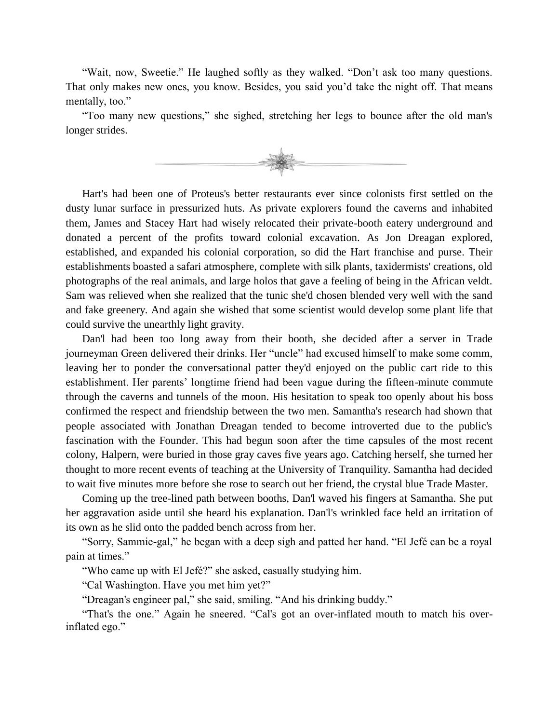"Wait, now, Sweetie." He laughed softly as they walked. "Don't ask too many questions. That only makes new ones, you know. Besides, you said you'd take the night off. That means mentally, too."

"Too many new questions," she sighed, stretching her legs to bounce after the old man's longer strides.



Hart's had been one of Proteus's better restaurants ever since colonists first settled on the dusty lunar surface in pressurized huts. As private explorers found the caverns and inhabited them, James and Stacey Hart had wisely relocated their private-booth eatery underground and donated a percent of the profits toward colonial excavation. As Jon Dreagan explored, established, and expanded his colonial corporation, so did the Hart franchise and purse. Their establishments boasted a safari atmosphere, complete with silk plants, taxidermists' creations, old photographs of the real animals, and large holos that gave a feeling of being in the African veldt. Sam was relieved when she realized that the tunic she'd chosen blended very well with the sand and fake greenery. And again she wished that some scientist would develop some plant life that could survive the unearthly light gravity.

Dan'l had been too long away from their booth, she decided after a server in Trade journeyman Green delivered their drinks. Her "uncle" had excused himself to make some comm, leaving her to ponder the conversational patter they'd enjoyed on the public cart ride to this establishment. Her parents' longtime friend had been vague during the fifteen-minute commute through the caverns and tunnels of the moon. His hesitation to speak too openly about his boss confirmed the respect and friendship between the two men. Samantha's research had shown that people associated with Jonathan Dreagan tended to become introverted due to the public's fascination with the Founder. This had begun soon after the time capsules of the most recent colony, Halpern, were buried in those gray caves five years ago. Catching herself, she turned her thought to more recent events of teaching at the University of Tranquility. Samantha had decided to wait five minutes more before she rose to search out her friend, the crystal blue Trade Master.

Coming up the tree-lined path between booths, Dan'l waved his fingers at Samantha. She put her aggravation aside until she heard his explanation. Dan'l's wrinkled face held an irritation of its own as he slid onto the padded bench across from her.

"Sorry, Sammie-gal," he began with a deep sigh and patted her hand. "El Jefé can be a royal pain at times."

"Who came up with El Jefé?" she asked, casually studying him.

"Cal Washington. Have you met him yet?"

"Dreagan's engineer pal," she said, smiling. "And his drinking buddy."

"That's the one." Again he sneered. "Cal's got an over-inflated mouth to match his overinflated ego."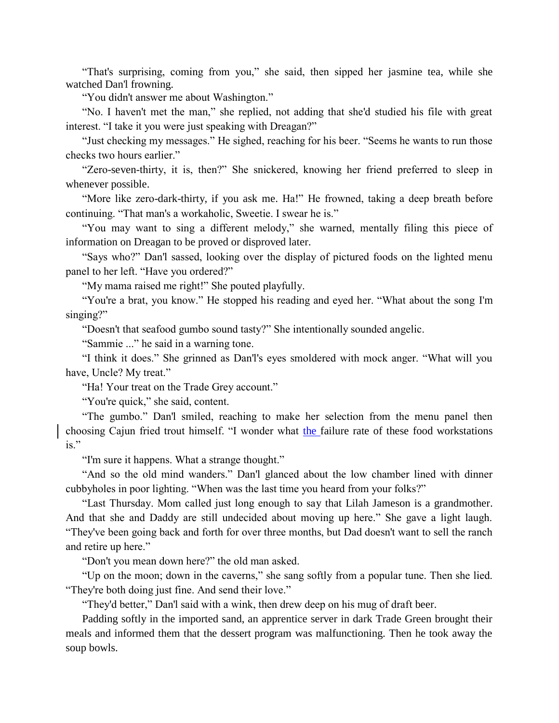"That's surprising, coming from you," she said, then sipped her jasmine tea, while she watched Dan'l frowning.

"You didn't answer me about Washington."

"No. I haven't met the man," she replied, not adding that she'd studied his file with great interest. "I take it you were just speaking with Dreagan?"

"Just checking my messages." He sighed, reaching for his beer. "Seems he wants to run those checks two hours earlier."

"Zero-seven-thirty, it is, then?" She snickered, knowing her friend preferred to sleep in whenever possible.

"More like zero-dark-thirty, if you ask me. Ha!" He frowned, taking a deep breath before continuing. "That man's a workaholic, Sweetie. I swear he is."

"You may want to sing a different melody," she warned, mentally filing this piece of information on Dreagan to be proved or disproved later.

"Says who?" Dan'l sassed, looking over the display of pictured foods on the lighted menu panel to her left. "Have you ordered?"

"My mama raised me right!" She pouted playfully.

"You're a brat, you know." He stopped his reading and eyed her. "What about the song I'm singing?"

"Doesn't that seafood gumbo sound tasty?" She intentionally sounded angelic.

"Sammie ..." he said in a warning tone.

"I think it does." She grinned as Dan'l's eyes smoldered with mock anger. "What will you have, Uncle? My treat."

"Ha! Your treat on the Trade Grey account."

"You're quick," she said, content.

"The gumbo." Dan'l smiled, reaching to make her selection from the menu panel then choosing Cajun fried trout himself. "I wonder what the failure rate of these food workstations  $i_S$ ."

"I'm sure it happens. What a strange thought."

"And so the old mind wanders." Dan'l glanced about the low chamber lined with dinner cubbyholes in poor lighting. "When was the last time you heard from your folks?"

"Last Thursday. Mom called just long enough to say that Lilah Jameson is a grandmother. And that she and Daddy are still undecided about moving up here." She gave a light laugh. "They've been going back and forth for over three months, but Dad doesn't want to sell the ranch and retire up here."

"Don't you mean down here?" the old man asked.

"Up on the moon; down in the caverns," she sang softly from a popular tune. Then she lied. "They're both doing just fine. And send their love."

"They'd better," Dan'l said with a wink, then drew deep on his mug of draft beer.

Padding softly in the imported sand, an apprentice server in dark Trade Green brought their meals and informed them that the dessert program was malfunctioning. Then he took away the soup bowls.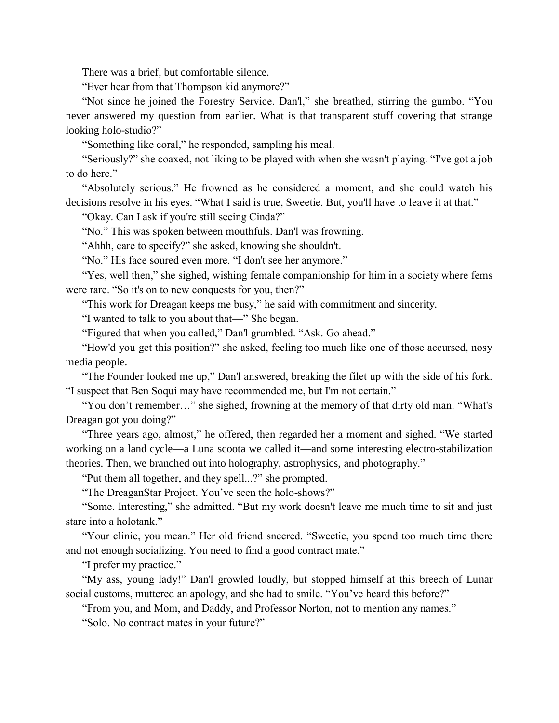There was a brief, but comfortable silence.

"Ever hear from that Thompson kid anymore?"

"Not since he joined the Forestry Service. Dan'l," she breathed, stirring the gumbo. "You never answered my question from earlier. What is that transparent stuff covering that strange looking holo-studio?"

"Something like coral," he responded, sampling his meal.

"Seriously?" she coaxed, not liking to be played with when she wasn't playing. "I've got a job to do here."

"Absolutely serious." He frowned as he considered a moment, and she could watch his decisions resolve in his eyes. "What I said is true, Sweetie. But, you'll have to leave it at that."

"Okay. Can I ask if you're still seeing Cinda?"

"No." This was spoken between mouthfuls. Dan'l was frowning.

"Ahhh, care to specify?" she asked, knowing she shouldn't.

"No." His face soured even more. "I don't see her anymore."

"Yes, well then," she sighed, wishing female companionship for him in a society where fems were rare. "So it's on to new conquests for you, then?"

"This work for Dreagan keeps me busy," he said with commitment and sincerity.

"I wanted to talk to you about that—" She began.

"Figured that when you called," Dan'l grumbled. "Ask. Go ahead."

"How'd you get this position?" she asked, feeling too much like one of those accursed, nosy media people.

"The Founder looked me up," Dan'l answered, breaking the filet up with the side of his fork. "I suspect that Ben Soqui may have recommended me, but I'm not certain."

"You don't remember…" she sighed, frowning at the memory of that dirty old man. "What's Dreagan got you doing?"

"Three years ago, almost," he offered, then regarded her a moment and sighed. "We started working on a land cycle—a Luna scoota we called it—and some interesting electro-stabilization theories. Then, we branched out into holography, astrophysics, and photography."

"Put them all together, and they spell...?" she prompted.

"The DreaganStar Project. You've seen the holo-shows?"

"Some. Interesting," she admitted. "But my work doesn't leave me much time to sit and just stare into a holotank."

"Your clinic, you mean." Her old friend sneered. "Sweetie, you spend too much time there and not enough socializing. You need to find a good contract mate."

"I prefer my practice."

"My ass, young lady!" Dan'l growled loudly, but stopped himself at this breech of Lunar social customs, muttered an apology, and she had to smile. "You've heard this before?"

"From you, and Mom, and Daddy, and Professor Norton, not to mention any names."

"Solo. No contract mates in your future?"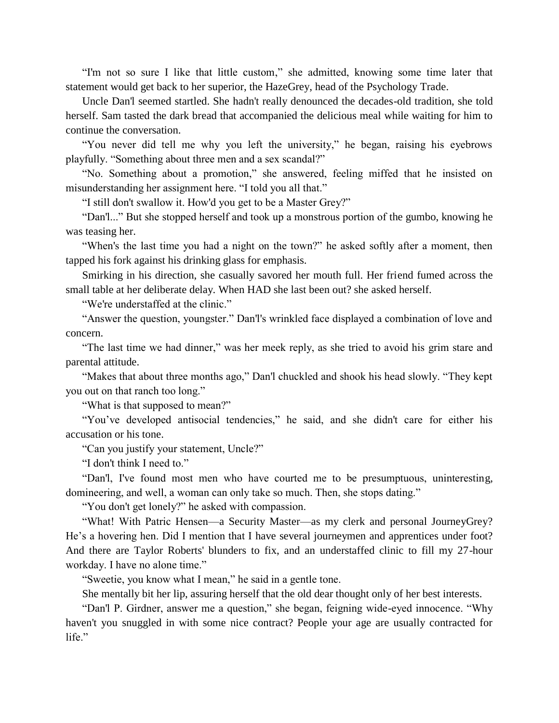"I'm not so sure I like that little custom," she admitted, knowing some time later that statement would get back to her superior, the HazeGrey, head of the Psychology Trade.

Uncle Dan'l seemed startled. She hadn't really denounced the decades-old tradition, she told herself. Sam tasted the dark bread that accompanied the delicious meal while waiting for him to continue the conversation.

"You never did tell me why you left the university," he began, raising his eyebrows playfully. "Something about three men and a sex scandal?"

"No. Something about a promotion," she answered, feeling miffed that he insisted on misunderstanding her assignment here. "I told you all that."

"I still don't swallow it. How'd you get to be a Master Grey?"

"Dan'l..." But she stopped herself and took up a monstrous portion of the gumbo, knowing he was teasing her.

"When's the last time you had a night on the town?" he asked softly after a moment, then tapped his fork against his drinking glass for emphasis.

Smirking in his direction, she casually savored her mouth full. Her friend fumed across the small table at her deliberate delay. When HAD she last been out? she asked herself.

"We're understaffed at the clinic."

"Answer the question, youngster." Dan'l's wrinkled face displayed a combination of love and concern.

"The last time we had dinner," was her meek reply, as she tried to avoid his grim stare and parental attitude.

"Makes that about three months ago," Dan'l chuckled and shook his head slowly. "They kept you out on that ranch too long."

"What is that supposed to mean?"

"You've developed antisocial tendencies," he said, and she didn't care for either his accusation or his tone.

"Can you justify your statement, Uncle?"

"I don't think I need to."

"Dan'l, I've found most men who have courted me to be presumptuous, uninteresting, domineering, and well, a woman can only take so much. Then, she stops dating."

"You don't get lonely?" he asked with compassion.

"What! With Patric Hensen—a Security Master—as my clerk and personal JourneyGrey? He's a hovering hen. Did I mention that I have several journeymen and apprentices under foot? And there are Taylor Roberts' blunders to fix, and an understaffed clinic to fill my 27-hour workday. I have no alone time."

"Sweetie, you know what I mean," he said in a gentle tone.

She mentally bit her lip, assuring herself that the old dear thought only of her best interests.

"Dan'l P. Girdner, answer me a question," she began, feigning wide-eyed innocence. "Why haven't you snuggled in with some nice contract? People your age are usually contracted for life."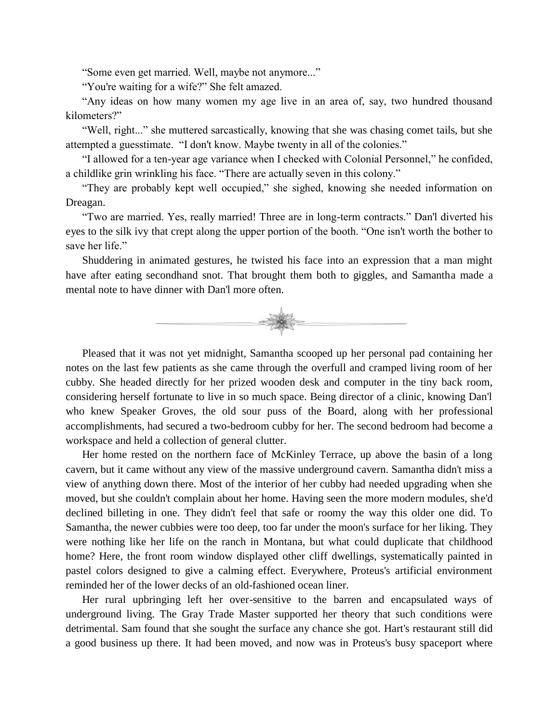"Some even get married. Well, maybe not anymore..."

"You're waiting for a wife?" She felt amazed.

"Any ideas on how many women my age live in an area of, say, two hundred thousand kilometers?"

"Well, right..." she muttered sarcastically, knowing that she was chasing comet tails, but she attempted a guesstimate. "I don't know. Maybe twenty in all of the colonies."

"I allowed for a ten-year age variance when I checked with Colonial Personnel," he confided, a childlike grin wrinkling his face. "There are actually seven in this colony."

"They are probably kept well occupied," she sighed, knowing she needed information on Dreagan.

"Two are married. Yes, really married! Three are in long-term contracts." Dan'l diverted his eyes to the silk ivy that crept along the upper portion of the booth. "One isn't worth the bother to save her life."

Shuddering in animated gestures, he twisted his face into an expression that a man might have after eating secondhand snot. That brought them both to giggles, and Samantha made a mental note to have dinner with Dan'l more often.



Pleased that it was not yet midnight, Samantha scooped up her personal pad containing her notes on the last few patients as she came through the overfull and cramped living room of her cubby. She headed directly for her prized wooden desk and computer in the tiny back room, considering herself fortunate to live in so much space. Being director of a clinic, knowing Dan'l who knew Speaker Groves, the old sour puss of the Board, along with her professional accomplishments, had secured a two-bedroom cubby for her. The second bedroom had become a workspace and held a collection of general clutter.

Her home rested on the northern face of McKinley Terrace, up above the basin of a long cavern, but it came without any view of the massive underground cavern. Samantha didn't miss a view of anything down there. Most of the interior of her cubby had needed upgrading when she moved, but she couldn't complain about her home. Having seen the more modern modules, she'd declined billeting in one. They didn't feel that safe or roomy the way this older one did. To Samantha, the newer cubbies were too deep, too far under the moon's surface for her liking. They were nothing like her life on the ranch in Montana, but what could duplicate that childhood home? Here, the front room window displayed other cliff dwellings, systematically painted in pastel colors designed to give a calming effect. Everywhere, Proteus's artificial environment reminded her of the lower decks of an old-fashioned ocean liner.

Her rural upbringing left her over-sensitive to the barren and encapsulated ways of underground living. The Gray Trade Master supported her theory that such conditions were detrimental. Sam found that she sought the surface any chance she got. Hart's restaurant still did a good business up there. It had been moved, and now was in Proteus's busy spaceport where